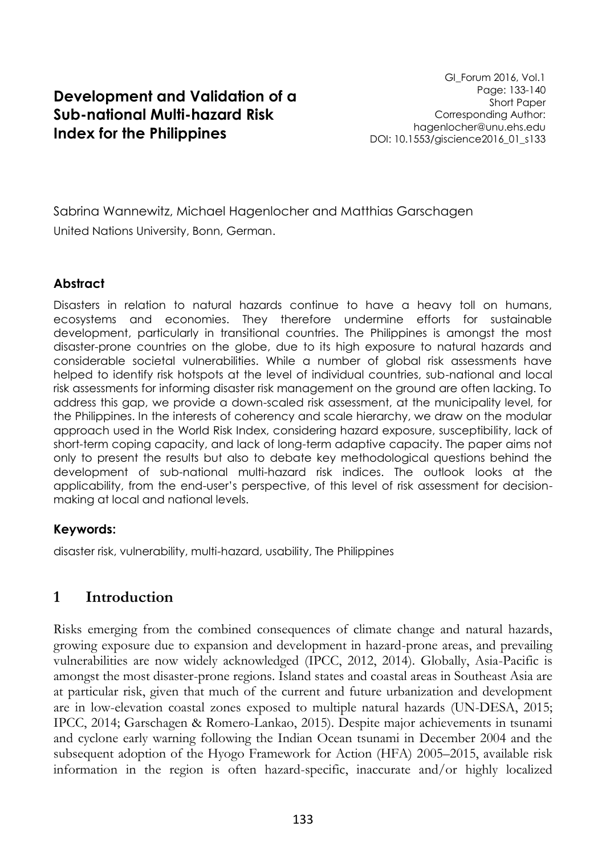## **Development and Validation of a Sub-national Multi-hazard Risk Index for the Philippines**

GI\_Forum 2016, Vol.1 Page: 133-140 Short Paper Corresponding Author: hagenlocher@unu.ehs.edu DOI: 10.1553/giscience2016\_01\_s133

Sabrina Wannewitz, Michael Hagenlocher and Matthias Garschagen United Nations University, Bonn, German.

#### **Abstract**

Disasters in relation to natural hazards continue to have a heavy toll on humans, ecosystems and economies. They therefore undermine efforts for sustainable development, particularly in transitional countries. The Philippines is amongst the most disaster-prone countries on the globe, due to its high exposure to natural hazards and considerable societal vulnerabilities. While a number of global risk assessments have helped to identify risk hotspots at the level of individual countries, sub-national and local risk assessments for informing disaster risk management on the ground are often lacking. To address this gap, we provide a down-scaled risk assessment, at the municipality level, for the Philippines. In the interests of coherency and scale hierarchy, we draw on the modular approach used in the World Risk Index, considering hazard exposure, susceptibility, lack of short-term coping capacity, and lack of long-term adaptive capacity. The paper aims not only to present the results but also to debate key methodological questions behind the development of sub-national multi-hazard risk indices. The outlook looks at the applicability, from the end-user's perspective, of this level of risk assessment for decisionmaking at local and national levels.

#### **Keywords:**

disaster risk, vulnerability, multi-hazard, usability, The Philippines

### **1 Introduction**

Risks emerging from the combined consequences of climate change and natural hazards, growing exposure due to expansion and development in hazard-prone areas, and prevailing vulnerabilities are now widely acknowledged (IPCC, 2012, 2014). Globally, Asia-Pacific is amongst the most disaster-prone regions. Island states and coastal areas in Southeast Asia are at particular risk, given that much of the current and future urbanization and development are in low-elevation coastal zones exposed to multiple natural hazards (UN-DESA, 2015; IPCC, 2014; Garschagen & Romero-Lankao, 2015). Despite major achievements in tsunami and cyclone early warning following the Indian Ocean tsunami in December 2004 and the subsequent adoption of the Hyogo Framework for Action (HFA) 2005–2015, available risk information in the region is often hazard-specific, inaccurate and/or highly localized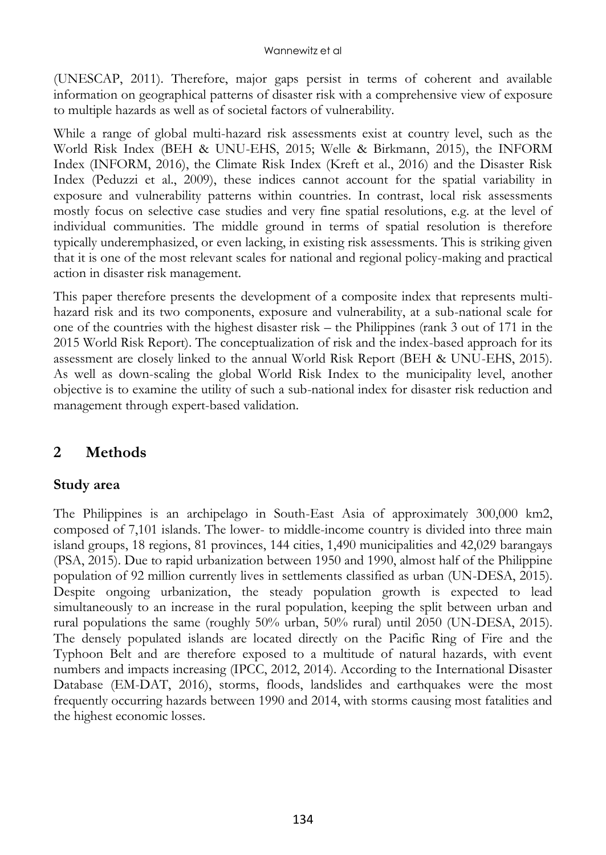(UNESCAP, 2011). Therefore, major gaps persist in terms of coherent and available information on geographical patterns of disaster risk with a comprehensive view of exposure to multiple hazards as well as of societal factors of vulnerability.

While a range of global multi-hazard risk assessments exist at country level, such as the World Risk Index (BEH & UNU-EHS, 2015; Welle & Birkmann, 2015), the INFORM Index (INFORM, 2016), the Climate Risk Index (Kreft et al., 2016) and the Disaster Risk Index (Peduzzi et al., 2009), these indices cannot account for the spatial variability in exposure and vulnerability patterns within countries. In contrast, local risk assessments mostly focus on selective case studies and very fine spatial resolutions, e.g. at the level of individual communities. The middle ground in terms of spatial resolution is therefore typically underemphasized, or even lacking, in existing risk assessments. This is striking given that it is one of the most relevant scales for national and regional policy-making and practical action in disaster risk management.

This paper therefore presents the development of a composite index that represents multihazard risk and its two components, exposure and vulnerability, at a sub-national scale for one of the countries with the highest disaster risk – the Philippines (rank 3 out of 171 in the 2015 World Risk Report). The conceptualization of risk and the index-based approach for its assessment are closely linked to the annual World Risk Report (BEH & UNU-EHS, 2015). As well as down-scaling the global World Risk Index to the municipality level, another objective is to examine the utility of such a sub-national index for disaster risk reduction and management through expert-based validation.

## **2 Methods**

### **Study area**

The Philippines is an archipelago in South-East Asia of approximately 300,000 km2, composed of 7,101 islands. The lower- to middle-income country is divided into three main island groups, 18 regions, 81 provinces, 144 cities, 1,490 municipalities and 42,029 barangays (PSA, 2015). Due to rapid urbanization between 1950 and 1990, almost half of the Philippine population of 92 million currently lives in settlements classified as urban (UN-DESA, 2015). Despite ongoing urbanization, the steady population growth is expected to lead simultaneously to an increase in the rural population, keeping the split between urban and rural populations the same (roughly 50% urban, 50% rural) until 2050 (UN-DESA, 2015). The densely populated islands are located directly on the Pacific Ring of Fire and the Typhoon Belt and are therefore exposed to a multitude of natural hazards, with event numbers and impacts increasing (IPCC, 2012, 2014). According to the International Disaster Database (EM-DAT, 2016), storms, floods, landslides and earthquakes were the most frequently occurring hazards between 1990 and 2014, with storms causing most fatalities and the highest economic losses.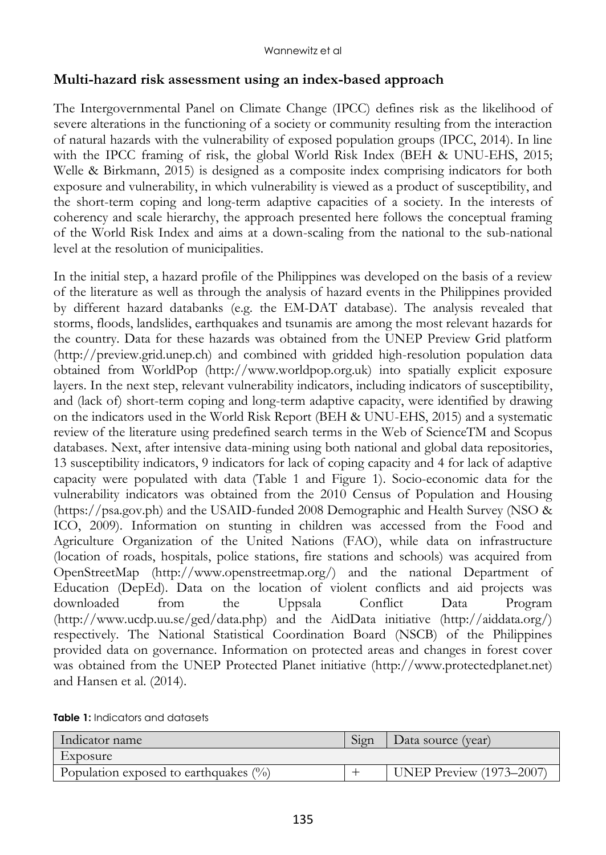#### **Multi-hazard risk assessment using an index-based approach**

The Intergovernmental Panel on Climate Change (IPCC) defines risk as the likelihood of severe alterations in the functioning of a society or community resulting from the interaction of natural hazards with the vulnerability of exposed population groups (IPCC, 2014). In line with the IPCC framing of risk, the global World Risk Index (BEH & UNU-EHS, 2015; Welle & Birkmann, 2015) is designed as a composite index comprising indicators for both exposure and vulnerability, in which vulnerability is viewed as a product of susceptibility, and the short-term coping and long-term adaptive capacities of a society. In the interests of coherency and scale hierarchy, the approach presented here follows the conceptual framing of the World Risk Index and aims at a down-scaling from the national to the sub-national level at the resolution of municipalities.

In the initial step, a hazard profile of the Philippines was developed on the basis of a review of the literature as well as through the analysis of hazard events in the Philippines provided by different hazard databanks (e.g. the EM-DAT database). The analysis revealed that storms, floods, landslides, earthquakes and tsunamis are among the most relevant hazards for the country. Data for these hazards was obtained from the UNEP Preview Grid platform (http://preview.grid.unep.ch) and combined with gridded high-resolution population data obtained from WorldPop (http://www.worldpop.org.uk) into spatially explicit exposure layers. In the next step, relevant vulnerability indicators, including indicators of susceptibility, and (lack of) short-term coping and long-term adaptive capacity, were identified by drawing on the indicators used in the World Risk Report (BEH & UNU-EHS, 2015) and a systematic review of the literature using predefined search terms in the Web of ScienceTM and Scopus databases. Next, after intensive data-mining using both national and global data repositories, 13 susceptibility indicators, 9 indicators for lack of coping capacity and 4 for lack of adaptive capacity were populated with data (Table 1 and Figure 1). Socio-economic data for the vulnerability indicators was obtained from the 2010 Census of Population and Housing (https://psa.gov.ph) and the USAID-funded 2008 Demographic and Health Survey (NSO & ICO, 2009). Information on stunting in children was accessed from the Food and Agriculture Organization of the United Nations (FAO), while data on infrastructure (location of roads, hospitals, police stations, fire stations and schools) was acquired from OpenStreetMap (http://www.openstreetmap.org/) and the national Department of Education (DepEd). Data on the location of violent conflicts and aid projects was downloaded from the Uppsala Conflict Data Program (http://www.ucdp.uu.se/ged/data.php) and the AidData initiative (http://aiddata.org/) respectively. The National Statistical Coordination Board (NSCB) of the Philippines provided data on governance. Information on protected areas and changes in forest cover was obtained from the UNEP Protected Planet initiative [\(http://www.protectedplanet.net\)](http://www.protectedplanet.net/) and Hansen et al. (2014).

| Indicator name                           | 519T | Data source (year)              |
|------------------------------------------|------|---------------------------------|
| Exposure                                 |      |                                 |
| Population exposed to earthquakes $(\%)$ |      | <b>UNEP Preview (1973-2007)</b> |

**Table 1:** Indicators and datasets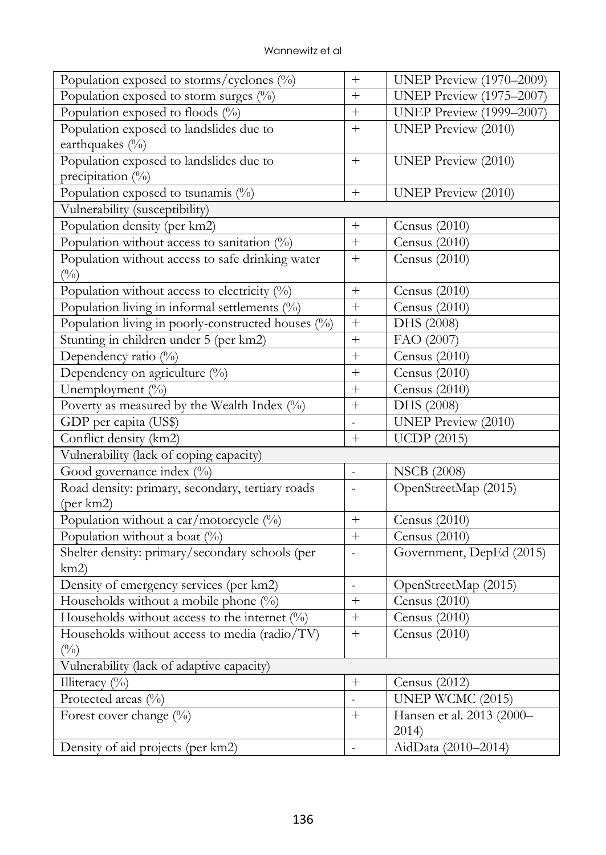| Population exposed to storms/cyclones $(\%)$       | $^{+}$                   | <b>UNEP Preview (1970-2009)</b> |  |
|----------------------------------------------------|--------------------------|---------------------------------|--|
| Population exposed to storm surges $(\%)$          |                          | <b>UNEP Preview (1975-2007)</b> |  |
| Population exposed to floods (%)                   |                          | <b>UNEP Preview (1999–2007)</b> |  |
| Population exposed to landslides due to            | $^{+}$                   | <b>UNEP Preview (2010)</b>      |  |
| earthquakes (%)                                    |                          |                                 |  |
| Population exposed to landslides due to            | $^{+}$                   | <b>UNEP Preview (2010)</b>      |  |
| precipitation (%)                                  |                          |                                 |  |
| Population exposed to tsunamis (%)                 | $\boldsymbol{+}$         | <b>UNEP Preview (2010)</b>      |  |
| Vulnerability (susceptibility)                     |                          |                                 |  |
| Population density (per km2)                       | $^{+}$                   | Census (2010)                   |  |
| Population without access to sanitation $(%)$      | $^{+}$                   | Census (2010)                   |  |
| Population without access to safe drinking water   | $^{+}$                   | Census (2010)                   |  |
| (0/0)                                              |                          |                                 |  |
| Population without access to electricity $(%)$     |                          | Census (2010)                   |  |
| Population living in informal settlements (%)      |                          | Census (2010)                   |  |
| Population living in poorly-constructed houses (%) | $^{+}$                   | DHS (2008)                      |  |
| Stunting in children under 5 (per km2)             | $^{+}$                   | FAO (2007)                      |  |
| Dependency ratio (%)                               | $^{+}$                   | Census (2010)                   |  |
| Dependency on agriculture (%)                      | $^{+}$                   | Census (2010)                   |  |
| Unemployment (%)                                   | $^{+}$                   | Census (2010)                   |  |
| Poverty as measured by the Wealth Index (%)        |                          | DHS (2008)                      |  |
| GDP per capita (US\$)                              |                          | <b>UNEP Preview (2010)</b>      |  |
| Conflict density (km2)                             | $^{+}$                   | <b>UCDP</b> (2015)              |  |
| Vulnerability (lack of coping capacity)            |                          |                                 |  |
| Good governance index (%)                          | $\bar{\phantom{a}}$      | <b>NSCB</b> (2008)              |  |
| Road density: primary, secondary, tertiary roads   | $\overline{\phantom{a}}$ | OpenStreetMap (2015)            |  |
| (per km2)                                          |                          |                                 |  |
| Population without a car/motorcycle (%)            | $^{+}$                   | Census (2010)                   |  |
| Population without a boat $(\%)$                   | $^{+}$                   | Census (2010)                   |  |
| Shelter density: primary/secondary schools (per    | $\bar{\phantom{a}}$      | Government, DepEd (2015)        |  |
| km2)                                               |                          |                                 |  |
| Density of emergency services (per km2)            | $\frac{1}{2}$            | OpenStreetMap (2015)            |  |
| Households without a mobile phone $(\%)$           |                          | Census $(2010)$                 |  |
| Households without access to the internet $(%)$    |                          | Census (2010)                   |  |
| Households without access to media (radio/TV)      | $^{+}$                   | Census (2010)                   |  |
| $\binom{0}{0}$                                     |                          |                                 |  |
| Vulnerability (lack of adaptive capacity)          |                          |                                 |  |
| Illiteracy $(\%)$                                  | $\boldsymbol{+}$         | Census (2012)                   |  |
| Protected areas (%)                                | $\equiv$                 | UNEP WCMC (2015)                |  |
| Forest cover change (%)                            | $^{+}$                   | Hansen et al. 2013 (2000-       |  |
|                                                    |                          | 2014)                           |  |
| Density of aid projects (per km2)                  | $\Box$                   | AidData (2010-2014)             |  |
|                                                    |                          |                                 |  |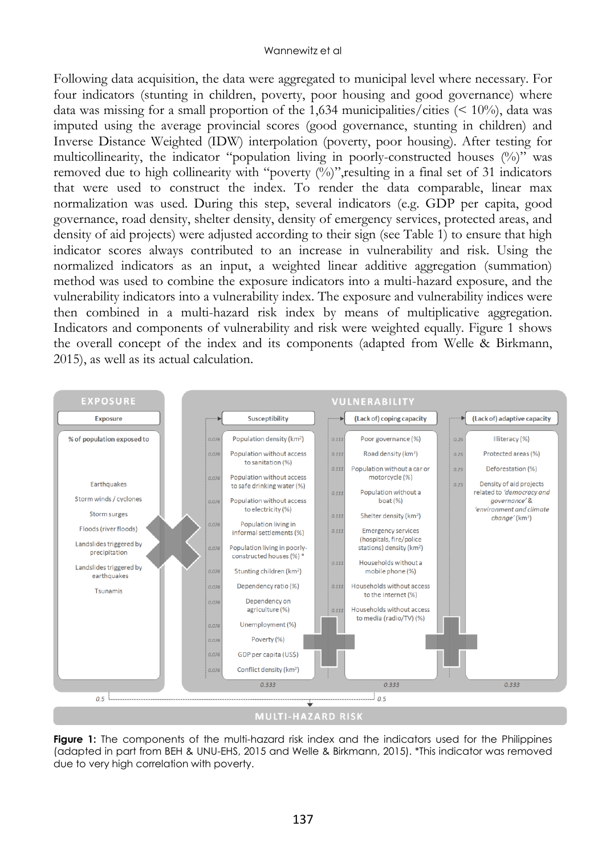Following data acquisition, the data were aggregated to municipal level where necessary. For four indicators (stunting in children, poverty, poor housing and good governance) where data was missing for a small proportion of the 1,634 municipalities/cities  $\left($  < 10%), data was imputed using the average provincial scores (good governance, stunting in children) and Inverse Distance Weighted (IDW) interpolation (poverty, poor housing). After testing for multicollinearity, the indicator "population living in poorly-constructed houses (%)" was removed due to high collinearity with "poverty  $(\%)$ ", resulting in a final set of 31 indicators that were used to construct the index. To render the data comparable, linear max normalization was used. During this step, several indicators (e.g. GDP per capita, good governance, road density, shelter density, density of emergency services, protected areas, and density of aid projects) were adjusted according to their sign (see Table 1) to ensure that high indicator scores always contributed to an increase in vulnerability and risk. Using the normalized indicators as an input, a weighted linear additive aggregation (summation) method was used to combine the exposure indicators into a multi-hazard exposure, and the vulnerability indicators into a vulnerability index. The exposure and vulnerability indices were then combined in a multi-hazard risk index by means of multiplicative aggregation. Indicators and components of vulnerability and risk were weighted equally. Figure 1 shows the overall concept of the index and its components (adapted from Welle & Birkmann, 2015), as well as its actual calculation.



**Figure 1:** The components of the multi-hazard risk index and the indicators used for the Philippines (adapted in part from BEH & UNU-EHS, 2015 and Welle & Birkmann, 2015). \*This indicator was removed due to very high correlation with poverty.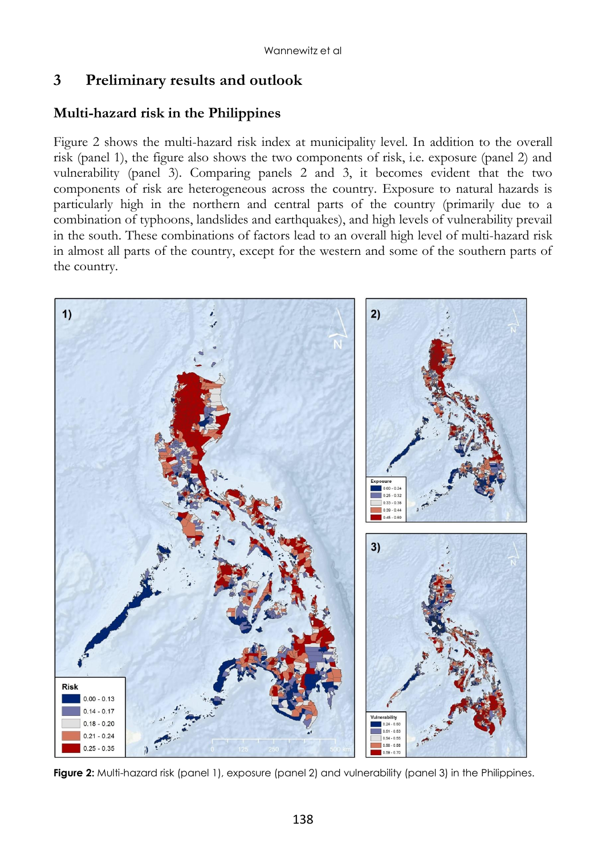## **3 Preliminary results and outlook**

# **Multi-hazard risk in the Philippines**

Figure 2 shows the multi-hazard risk index at municipality level. In addition to the overall risk (panel 1), the figure also shows the two components of risk, i.e. exposure (panel 2) and vulnerability (panel 3). Comparing panels 2 and 3, it becomes evident that the two components of risk are heterogeneous across the country. Exposure to natural hazards is particularly high in the northern and central parts of the country (primarily due to a combination of typhoons, landslides and earthquakes), and high levels of vulnerability prevail in the south. These combinations of factors lead to an overall high level of multi-hazard risk in almost all parts of the country, except for the western and some of the southern parts of the country.



**Figure 2:** Multi-hazard risk (panel 1), exposure (panel 2) and vulnerability (panel 3) in the Philippines.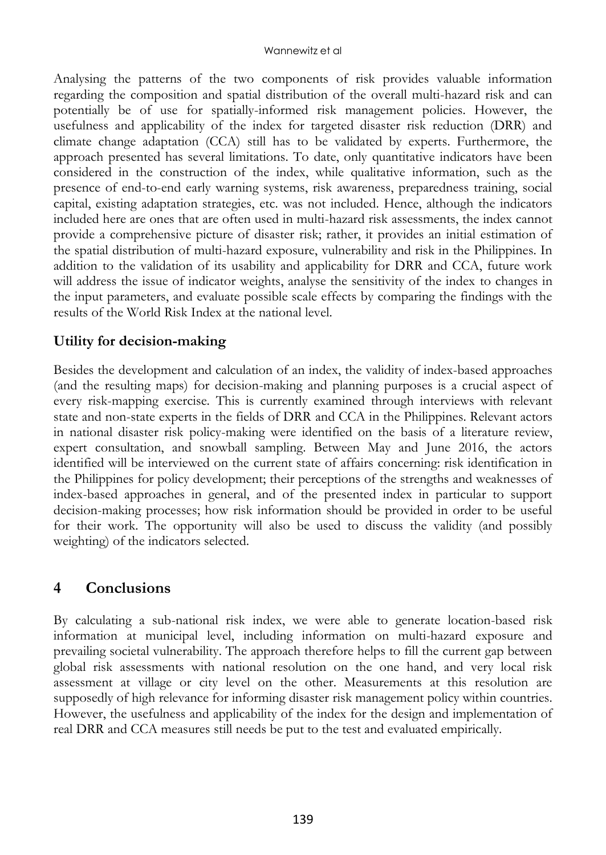Analysing the patterns of the two components of risk provides valuable information regarding the composition and spatial distribution of the overall multi-hazard risk and can potentially be of use for spatially-informed risk management policies. However, the usefulness and applicability of the index for targeted disaster risk reduction (DRR) and climate change adaptation (CCA) still has to be validated by experts. Furthermore, the approach presented has several limitations. To date, only quantitative indicators have been considered in the construction of the index, while qualitative information, such as the presence of end-to-end early warning systems, risk awareness, preparedness training, social capital, existing adaptation strategies, etc. was not included. Hence, although the indicators included here are ones that are often used in multi-hazard risk assessments, the index cannot provide a comprehensive picture of disaster risk; rather, it provides an initial estimation of the spatial distribution of multi-hazard exposure, vulnerability and risk in the Philippines. In addition to the validation of its usability and applicability for DRR and CCA, future work will address the issue of indicator weights, analyse the sensitivity of the index to changes in the input parameters, and evaluate possible scale effects by comparing the findings with the results of the World Risk Index at the national level.

#### **Utility for decision-making**

Besides the development and calculation of an index, the validity of index-based approaches (and the resulting maps) for decision-making and planning purposes is a crucial aspect of every risk-mapping exercise. This is currently examined through interviews with relevant state and non-state experts in the fields of DRR and CCA in the Philippines. Relevant actors in national disaster risk policy-making were identified on the basis of a literature review, expert consultation, and snowball sampling. Between May and June 2016, the actors identified will be interviewed on the current state of affairs concerning: risk identification in the Philippines for policy development; their perceptions of the strengths and weaknesses of index-based approaches in general, and of the presented index in particular to support decision-making processes; how risk information should be provided in order to be useful for their work. The opportunity will also be used to discuss the validity (and possibly weighting) of the indicators selected.

## **4 Conclusions**

By calculating a sub-national risk index, we were able to generate location-based risk information at municipal level, including information on multi-hazard exposure and prevailing societal vulnerability. The approach therefore helps to fill the current gap between global risk assessments with national resolution on the one hand, and very local risk assessment at village or city level on the other. Measurements at this resolution are supposedly of high relevance for informing disaster risk management policy within countries. However, the usefulness and applicability of the index for the design and implementation of real DRR and CCA measures still needs be put to the test and evaluated empirically.